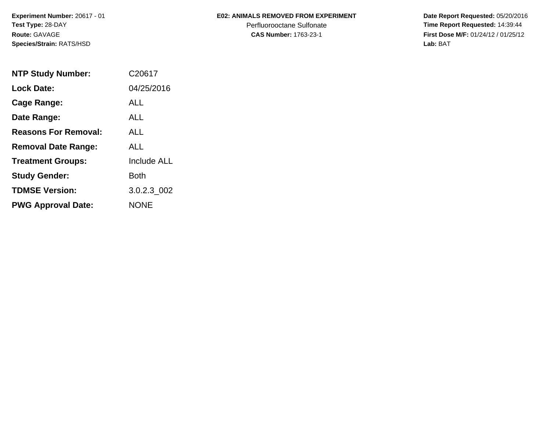**Experiment Number:** 20617 - 01**Test Type:** 28-DAY**Route:** GAVAGE**Species/Strain:** RATS/HSD

### **E02: ANIMALS REMOVED FROM EXPERIMENT**

Perfluorooctane Sulfonate<br>CAS Number: 1763-23-1

| <b>NTP Study Number:</b>    | C <sub>20617</sub> |
|-----------------------------|--------------------|
| <b>Lock Date:</b>           | 04/25/2016         |
| Cage Range:                 | ALL                |
| Date Range:                 | AI I               |
| <b>Reasons For Removal:</b> | ALL                |
| <b>Removal Date Range:</b>  | ALL                |
| <b>Treatment Groups:</b>    | <b>Include ALL</b> |
| <b>Study Gender:</b>        | Both               |
| <b>TDMSE Version:</b>       | 3.0.2.3 002        |
| <b>PWG Approval Date:</b>   | <b>NONE</b>        |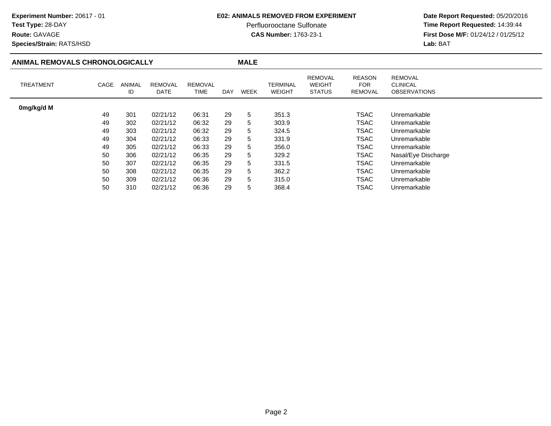### **E02: ANIMALS REMOVED FROM EXPERIMENT**

Perfluorooctane Sulfonate<br>CAS Number: 1763-23-1

 **Date Report Requested:** 05/20/2016 **Time Report Requested:** 14:39:44 **First Dose M/F:** 01/24/12 / 01/25/12<br>**Lab:** BAT

### **Route:** GAVAGE**Species/Strain:** RATS/HSD**Lab:** BAT

| ANIMAL REMOVALS CHRONOLOGICALLY |      |              |                        | <b>MALE</b>            |     |      |                    |                                                  |                                               |                                                          |
|---------------------------------|------|--------------|------------------------|------------------------|-----|------|--------------------|--------------------------------------------------|-----------------------------------------------|----------------------------------------------------------|
| <b>TREATMENT</b>                | CAGE | ANIMAL<br>ID | <b>REMOVAL</b><br>DATE | <b>REMOVAL</b><br>TIME | DAY | WEEK | TERMINAL<br>WEIGHT | <b>REMOVAL</b><br><b>WEIGHT</b><br><b>STATUS</b> | <b>REASON</b><br><b>FOR</b><br><b>REMOVAL</b> | <b>REMOVAL</b><br><b>CLINICAL</b><br><b>OBSERVATIONS</b> |
| 0mg/kg/d M                      |      |              |                        |                        |     |      |                    |                                                  |                                               |                                                          |
|                                 | 49   | 301          | 02/21/12               | 06:31                  | 29  | 5    | 351.3              |                                                  | <b>TSAC</b>                                   | Unremarkable                                             |
|                                 | 49   | 302          | 02/21/12               | 06:32                  | 29  | 5    | 303.9              |                                                  | TSAC                                          | Unremarkable                                             |
|                                 | 49   | 303          | 02/21/12               | 06:32                  | 29  | 5    | 324.5              |                                                  | <b>TSAC</b>                                   | Unremarkable                                             |
|                                 | 49   | 304          | 02/21/12               | 06:33                  | 29  | 5    | 331.9              |                                                  | <b>TSAC</b>                                   | Unremarkable                                             |
|                                 | 49   | 305          | 02/21/12               | 06:33                  | 29  | 5    | 356.0              |                                                  | TSAC                                          | Unremarkable                                             |
|                                 | 50   | 306          | 02/21/12               | 06:35                  | 29  | 5    | 329.2              |                                                  | TSAC                                          | Nasal/Eye Discharge                                      |
|                                 | 50   | 307          | 02/21/12               | 06:35                  | 29  | 5    | 331.5              |                                                  | <b>TSAC</b>                                   | Unremarkable                                             |
|                                 | 50   | 308          | 02/21/12               | 06:35                  | 29  | 5    | 362.2              |                                                  | <b>TSAC</b>                                   | Unremarkable                                             |
|                                 | 50   | 309          | 02/21/12               | 06:36                  | 29  | 5    | 315.0              |                                                  | <b>TSAC</b>                                   | Unremarkable                                             |
|                                 | 50   | 310          | 02/21/12               | 06:36                  | 29  | 5    | 368.4              |                                                  | TSAC                                          | Unremarkable                                             |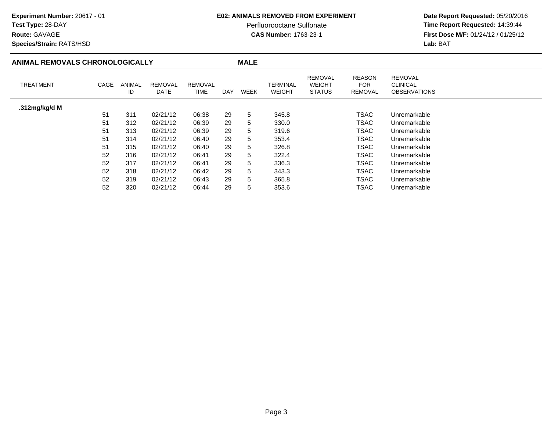### **E02: ANIMALS REMOVED FROM EXPERIMENT**

Perfluorooctane Sulfonate<br>CAS Number: 1763-23-1

 **Date Report Requested:** 05/20/2016 **Time Report Requested:** 14:39:44 **First Dose M/F:** 01/24/12 / 01/25/12<br>Lab: BAT **Lab:** BAT

**Route:** GAVAGE**Species/Strain:** RATS/HSD

### **ANIMAL REMOVALS CHRONOLOGICALLY**

| MALI |  |
|------|--|
|      |  |

| ANIMAL REMOVALS CHRONOLOGICALLY |      |              | <b>MALE</b>            |                        |     |      |                                  |                                                  |                                        |                                                          |
|---------------------------------|------|--------------|------------------------|------------------------|-----|------|----------------------------------|--------------------------------------------------|----------------------------------------|----------------------------------------------------------|
| <b>TREATMENT</b>                | CAGE | ANIMAL<br>ID | <b>REMOVAL</b><br>DATE | <b>REMOVAL</b><br>TIME | DAY | WEEK | <b>TERMINAL</b><br><b>WEIGHT</b> | <b>REMOVAL</b><br><b>WEIGHT</b><br><b>STATUS</b> | <b>REASON</b><br><b>FOR</b><br>REMOVAL | <b>REMOVAL</b><br><b>CLINICAL</b><br><b>OBSERVATIONS</b> |
| .312mg/kg/d M                   |      |              |                        |                        |     |      |                                  |                                                  |                                        |                                                          |
|                                 | 51   | 311          | 02/21/12               | 06:38                  | 29  | 5    | 345.8                            |                                                  | <b>TSAC</b>                            | Unremarkable                                             |
|                                 | 51   | 312          | 02/21/12               | 06:39                  | 29  | 5    | 330.0                            |                                                  | <b>TSAC</b>                            | Unremarkable                                             |
|                                 | 51   | 313          | 02/21/12               | 06:39                  | 29  | 5    | 319.6                            |                                                  | <b>TSAC</b>                            | Unremarkable                                             |
|                                 | 51   | 314          | 02/21/12               | 06:40                  | 29  | 5    | 353.4                            |                                                  | <b>TSAC</b>                            | Unremarkable                                             |
|                                 | 51   | 315          | 02/21/12               | 06:40                  | 29  | 5    | 326.8                            |                                                  | <b>TSAC</b>                            | Unremarkable                                             |
|                                 | 52   | 316          | 02/21/12               | 06:41                  | 29  | 5    | 322.4                            |                                                  | TSAC                                   | Unremarkable                                             |
|                                 | 52   | 317          | 02/21/12               | 06:41                  | 29  | 5    | 336.3                            |                                                  | TSAC                                   | Unremarkable                                             |
|                                 | 52   | 318          | 02/21/12               | 06:42                  | 29  | 5    | 343.3                            |                                                  | <b>TSAC</b>                            | Unremarkable                                             |
|                                 | 52   | 319          | 02/21/12               | 06:43                  | 29  | 5    | 365.8                            |                                                  | TSAC                                   | Unremarkable                                             |
|                                 | 52   | 320          | 02/21/12               | 06:44                  | 29  | 5    | 353.6                            |                                                  | TSAC                                   | Unremarkable                                             |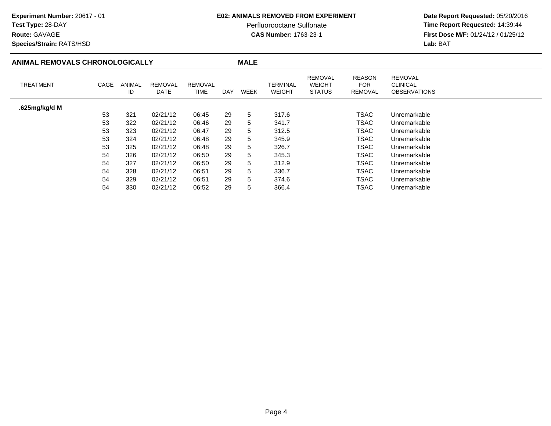### **E02: ANIMALS REMOVED FROM EXPERIMENT**

Perfluorooctane Sulfonate<br>CAS Number: 1763-23-1

 **Date Report Requested:** 05/20/2016 **Time Report Requested:** 14:39:44 **First Dose M/F:** 01/24/12 / 01/25/12<br>**Lab:** BAT **Lab:** BAT

TSAC Unremarkable<br>TSAC Unremarkable

TSAC Unremarkable<br>TSAC Unremarkable

Unremarkable

**Species/Strain:** RATS/HSD

**Route:** GAVAGE

54

54

54

| ANIMAL REMOVALS CHRONOLOGICALLY |      |                     |                        | <b>MALE</b>            |            |             |                                  |                                                  |                                               |                                                          |  |
|---------------------------------|------|---------------------|------------------------|------------------------|------------|-------------|----------------------------------|--------------------------------------------------|-----------------------------------------------|----------------------------------------------------------|--|
| <b>TREATMENT</b>                | CAGE | <b>ANIMAL</b><br>ID | <b>REMOVAL</b><br>DATE | <b>REMOVAL</b><br>TIME | <b>DAY</b> | <b>WEEK</b> | <b>TERMINAL</b><br><b>WEIGHT</b> | <b>REMOVAL</b><br><b>WEIGHT</b><br><b>STATUS</b> | <b>REASON</b><br><b>FOR</b><br><b>REMOVAL</b> | <b>REMOVAL</b><br><b>CLINICAL</b><br><b>OBSERVATIONS</b> |  |
| .625mg/kg/d M                   |      |                     |                        |                        |            |             |                                  |                                                  |                                               |                                                          |  |
|                                 | 53   | 321                 | 02/21/12               | 06:45                  | 29         | 5           | 317.6                            |                                                  | <b>TSAC</b>                                   | Unremarkable                                             |  |
|                                 | 53   | 322                 | 02/21/12               | 06:46                  | 29         | 5           | 341.7                            |                                                  | <b>TSAC</b>                                   | Unremarkable                                             |  |
|                                 | 53   | 323                 | 02/21/12               | 06:47                  | 29         | 5           | 312.5                            |                                                  | <b>TSAC</b>                                   | Unremarkable                                             |  |
|                                 | 53   | 324                 | 02/21/12               | 06:48                  | 29         | 5           | 345.9                            |                                                  | <b>TSAC</b>                                   | Unremarkable                                             |  |
|                                 | 53   | 325                 | 02/21/12               | 06:48                  | 29         | 5           | 326.7                            |                                                  | TSAC                                          | Unremarkable                                             |  |
|                                 | 54   | 326                 | 02/21/12               | 06:50                  | 29         | 5           | 345.3                            |                                                  | <b>TSAC</b>                                   | Unremarkable                                             |  |
|                                 | 54   | 327                 | 02/21/12               | 06:50                  | 29         | 5           | 312.9                            |                                                  | <b>TSAC</b>                                   | Unremarkable                                             |  |
|                                 | 54   | 328                 | 02/21/12               | 06:51                  | 29         | 5           | 336.7                            |                                                  | <b>TSAC</b>                                   | Unremarkable                                             |  |

<sup>328</sup> 02/21/12 06:51 <sup>29</sup> <sup>5</sup> 336.7 TSAC

<sup>329</sup> 02/21/12 06:51 <sup>29</sup> <sup>5</sup> 374.6 TSAC

<sup>330</sup> 02/21/12 06:52 <sup>29</sup> <sup>5</sup> 366.4 TSAC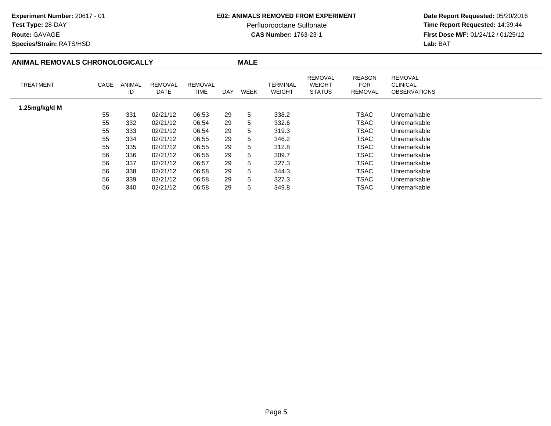#### **E02: ANIMALS REMOVED FROM EXPERIMENT**

Perfluorooctane Sulfonate<br>CAS Number: 1763-23-1

 **Date Report Requested:** 05/20/2016 **Time Report Requested:** 14:39:44 **First Dose M/F:** 01/24/12 / 01/25/12<br>**Lab:** BAT **Lab:** BAT

**Route:** GAVAGE**Species/Strain:** RATS/HSD

#### **ANIMAL REMOVALS CHRONOLOGICALLY MALE** TREATMENT CAGE ANIMAL IDREMOVALDATEREMOVALTIME DAY WEEK TERMINAL WEIGHTREMOVAL WEIGHT STATUSREASONFOR REMOVALREMOVAL CLINICAL OBSERVATIONS**1.25mg/kg/d M**55 <sup>331</sup> 02/21/12 06:53 <sup>29</sup> <sup>5</sup> 338.2 TSACTSAC Unremarkable<br>TSAC Unremarkable 55 <sup>332</sup> 02/21/12 06:54 <sup>29</sup> <sup>5</sup> 332.6 TSACTSAC Unremarkable<br>TSAC Unremarkable 55 <sup>333</sup> 02/21/12 06:54 <sup>29</sup> <sup>5</sup> 319.3 TSACTSAC Unremarkable<br>TSAC Unremarkable 55 <sup>334</sup> 02/21/12 06:55 <sup>29</sup> <sup>5</sup> 346.2 TSACTSAC Unremarkable<br>TSAC Unremarkable 55 <sup>335</sup> 02/21/12 06:55 <sup>29</sup> <sup>5</sup> 312.8 TSACTSAC Unremarkable<br>TSAC Unremarkable 56 <sup>336</sup> 02/21/12 06:56 <sup>29</sup> <sup>5</sup> 309.7 TSACTSAC Unremarkable<br>TSAC Unremarkable 56 <sup>337</sup> 02/21/12 06:57 <sup>29</sup> <sup>5</sup> 327.3 TSACTSAC Unremarkable<br>TSAC Unremarkable 56 <sup>338</sup> 02/21/12 06:58 <sup>29</sup> <sup>5</sup> 344.3 TSACTSAC Unremarkable<br>TSAC Unremarkable 56 <sup>339</sup> 02/21/12 06:58 <sup>29</sup> <sup>5</sup> 327.3 TSACTSAC Unremarkable<br>TSAC Unremarkable 56 <sup>340</sup> 02/21/12 06:58 <sup>29</sup> <sup>5</sup> 349.8 TSACUnremarkable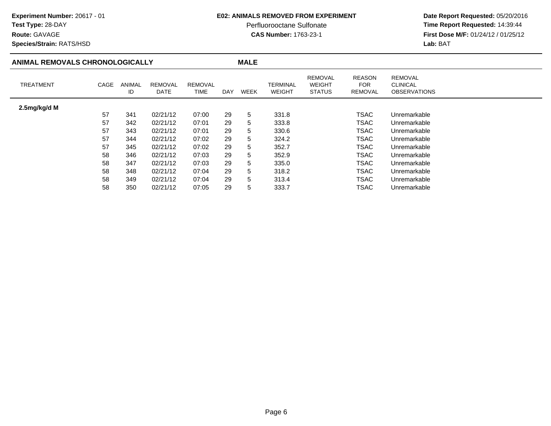**Route:** GAVAGE

#### **E02: ANIMALS REMOVED FROM EXPERIMENT**

Perfluorooctane Sulfonate<br>CAS Number: 1763-23-1

 **Date Report Requested:** 05/20/2016 **Time Report Requested:** 14:39:44 **First Dose M/F:** 01/24/12 / 01/25/12<br>**Lab:** BAT **Lab:** BAT

**Species/Strain:** RATS/HSD

#### **ANIMAL REMOVALS CHRONOLOGICALLY MALE** TREATMENT CAGE ANIMAL IDREMOVALDATEREMOVALTIME DAY WEEK TERMINAL WEIGHTREMOVAL WEIGHT STATUSREASONFOR REMOVALREMOVAL CLINICAL OBSERVATIONS**2.5mg/kg/d M**57 <sup>341</sup> 02/21/12 07:00 <sup>29</sup> <sup>5</sup> 331.8 TSACTSAC Unremarkable<br>TSAC Unremarkable 57 <sup>342</sup> 02/21/12 07:01 <sup>29</sup> <sup>5</sup> 333.8 TSACTSAC Unremarkable<br>TSAC Unremarkable 57 <sup>343</sup> 02/21/12 07:01 <sup>29</sup> <sup>5</sup> 330.6 TSACTSAC Unremarkable<br>TSAC Unremarkable 57 <sup>344</sup> 02/21/12 07:02 <sup>29</sup> <sup>5</sup> 324.2 TSACTSAC Unremarkable<br>TSAC Unremarkable 57 <sup>345</sup> 02/21/12 07:02 <sup>29</sup> <sup>5</sup> 352.7 TSACTSAC Unremarkable<br>TSAC Unremarkable 58 <sup>346</sup> 02/21/12 07:03 <sup>29</sup> <sup>5</sup> 352.9 TSACTSAC Unremarkable<br>TSAC Unremarkable 58 <sup>347</sup> 02/21/12 07:03 <sup>29</sup> <sup>5</sup> 335.0 TSACTSAC Unremarkable<br>TSAC Unremarkable 58 <sup>348</sup> 02/21/12 07:04 <sup>29</sup> <sup>5</sup> 318.2 TSACTSAC Unremarkable<br>TSAC Unremarkable 58 <sup>349</sup> 02/21/12 07:04 <sup>29</sup> <sup>5</sup> 313.4 TSACTSAC Unremarkable<br>TSAC Unremarkable 58 <sup>350</sup> 02/21/12 07:05 <sup>29</sup> <sup>5</sup> 333.7 TSACUnremarkable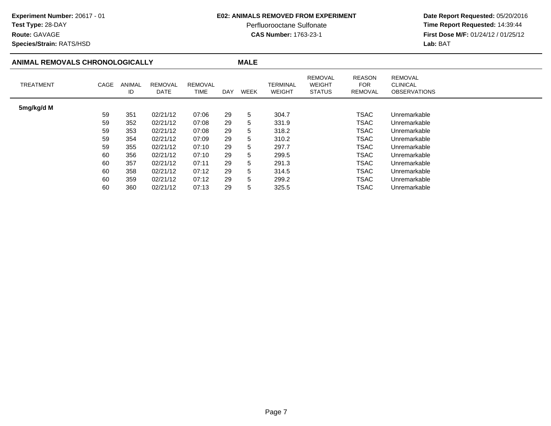**Route:** GAVAGE

#### **E02: ANIMALS REMOVED FROM EXPERIMENT**

Perfluorooctane Sulfonate<br>CAS Number: 1763-23-1

 **Date Report Requested:** 05/20/2016 **Time Report Requested:** 14:39:44 **First Dose M/F:** 01/24/12 / 01/25/12<br>**Lab:** BAT **Lab:** BAT

**Species/Strain:** RATS/HSD

#### **ANIMAL REMOVALS CHRONOLOGICALLY MALE** TREATMENT CAGE ANIMAL IDREMOVALDATEREMOVALTIME DAY WEEK TERMINAL WEIGHTREMOVAL WEIGHT STATUSREASONFOR REMOVALREMOVAL CLINICAL OBSERVATIONS**5mg/kg/d M**59 <sup>351</sup> 02/21/12 07:06 <sup>29</sup> <sup>5</sup> 304.7 TSACTSAC Unremarkable<br>TSAC Unremarkable 59 <sup>352</sup> 02/21/12 07:08 <sup>29</sup> <sup>5</sup> 331.9 TSACTSAC Unremarkable<br>TSAC Unremarkable 59 <sup>353</sup> 02/21/12 07:08 <sup>29</sup> <sup>5</sup> 318.2 TSACTSAC Unremarkable<br>TSAC Unremarkable 59 <sup>354</sup> 02/21/12 07:09 <sup>29</sup> <sup>5</sup> 310.2 TSACTSAC Unremarkable<br>TSAC Unremarkable 59 <sup>355</sup> 02/21/12 07:10 <sup>29</sup> <sup>5</sup> 297.7 TSACTSAC Unremarkable<br>TSAC Unremarkable 60 <sup>356</sup> 02/21/12 07:10 <sup>29</sup> <sup>5</sup> 299.5 TSACTSAC Unremarkable<br>TSAC Unremarkable 60 <sup>357</sup> 02/21/12 07:11 <sup>29</sup> <sup>5</sup> 291.3 TSACTSAC Unremarkable<br>TSAC Unremarkable 60 <sup>358</sup> 02/21/12 07:12 <sup>29</sup> <sup>5</sup> 314.5 TSACTSAC Unremarkable<br>TSAC Unremarkable 60 <sup>359</sup> 02/21/12 07:12 <sup>29</sup> <sup>5</sup> 299.2 TSACTSAC Unremarkable<br>TSAC Unremarkable 60 <sup>360</sup> 02/21/12 07:13 <sup>29</sup> <sup>5</sup> 325.5 TSACUnremarkable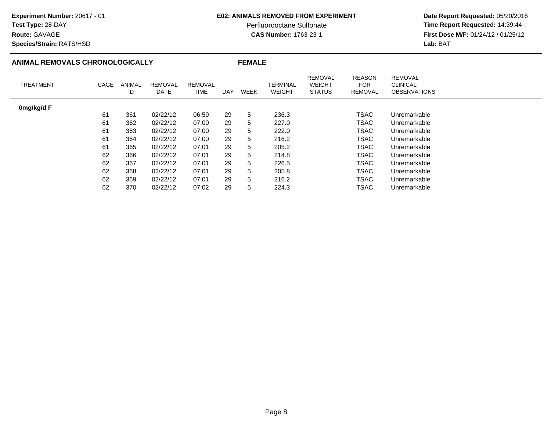### **E02: ANIMALS REMOVED FROM EXPERIMENT**

Perfluorooctane Sulfonate<br>CAS Number: 1763-23-1

 **Date Report Requested:** 05/20/2016 **Time Report Requested:** 14:39:44 **First Dose M/F:** 01/24/12 / 01/25/12<br>Lab: BAT **Lab:** BAT

**Species/Strain:** RATS/HSD

| ANIMAL REMOVALS CHRONOLOGICALLY |      |                     |                               |                 |            | <b>FEMALE</b> |                           |                                                  |                                         |                                                          |  |  |  |
|---------------------------------|------|---------------------|-------------------------------|-----------------|------------|---------------|---------------------------|--------------------------------------------------|-----------------------------------------|----------------------------------------------------------|--|--|--|
| <b>TREATMENT</b>                | CAGE | <b>ANIMAL</b><br>ID | <b>REMOVAL</b><br><b>DATE</b> | REMOVAL<br>TIME | <b>DAY</b> | WEEK          | TERMINAL<br><b>WEIGHT</b> | <b>REMOVAL</b><br><b>WEIGHT</b><br><b>STATUS</b> | <b>REASON</b><br>FOR.<br><b>REMOVAL</b> | <b>REMOVAL</b><br><b>CLINICAL</b><br><b>OBSERVATIONS</b> |  |  |  |
| 0mg/kg/d F                      |      |                     |                               |                 |            |               |                           |                                                  |                                         |                                                          |  |  |  |
|                                 | 61   | 361                 | 02/22/12                      | 06:59           | 29         | 5             | 236.3                     |                                                  | <b>TSAC</b>                             | Unremarkable                                             |  |  |  |
|                                 | 61   | 362                 | 02/22/12                      | 07:00           | 29         | 5             | 227.0                     |                                                  | <b>TSAC</b>                             | Unremarkable                                             |  |  |  |
|                                 | 61   | 363                 | 02/22/12                      | 07:00           | 29         | 5.            | 222.0                     |                                                  | <b>TSAC</b>                             | Unremarkable                                             |  |  |  |
|                                 | 61   | 364                 | 02/22/12                      | 07:00           | 29         | 5.            | 216.2                     |                                                  | <b>TSAC</b>                             | Unremarkable                                             |  |  |  |
|                                 | 61   | 365                 | 02/22/12                      | 07:01           | 29         | 5.            | 205.2                     |                                                  | <b>TSAC</b>                             | Unremarkable                                             |  |  |  |
|                                 | 62   | 366                 | 02/22/12                      | 07:01           | 29         | 5.            | 214.8                     |                                                  | <b>TSAC</b>                             | Unremarkable                                             |  |  |  |
|                                 | 62   | 367                 | 02/22/12                      | 07:01           | 29         | 5             | 226.5                     |                                                  | <b>TSAC</b>                             | Unremarkable                                             |  |  |  |
|                                 | 62   | 368                 | 02/22/12                      | 07:01           | 29         | 5.            | 205.8                     |                                                  | <b>TSAC</b>                             | Unremarkable                                             |  |  |  |
|                                 | 62   | 369                 | 02/22/12                      | 07:01           | 29         | 5.            | 216.2                     |                                                  | <b>TSAC</b>                             | Unremarkable                                             |  |  |  |
|                                 | 62   | 370                 | 02/22/12                      | 07:02           | 29         | 5.            | 224.3                     |                                                  | <b>TSAC</b>                             | Unremarkable                                             |  |  |  |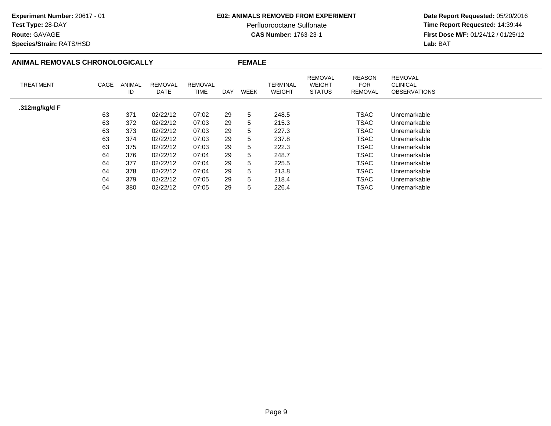### **E02: ANIMALS REMOVED FROM EXPERIMENT**

Perfluorooctane Sulfonate<br>CAS Number: 1763-23-1

 **Date Report Requested:** 05/20/2016 **Time Report Requested:** 14:39:44 **First Dose M/F:** 01/24/12 / 01/25/12<br>Lab: BAT **Lab:** BAT

**Species/Strain:** RATS/HSD

**Route:** GAVAGE

### **ANIMAL REMOVALS CHRONOLOGICALLY**

**FEMALE**

| TREATMENT     | CAGE | ANIMAL<br>ID | <b>REMOVAL</b><br>DATE | <b>REMOVAL</b><br>TIME | DAY | WEEK | TERMINAL<br><b>WEIGHT</b> | <b>REMOVAL</b><br><b>WEIGHT</b><br><b>STATUS</b> | <b>REASON</b><br><b>FOR</b><br>REMOVAL | <b>REMOVAL</b><br><b>CLINICAL</b><br><b>OBSERVATIONS</b> |
|---------------|------|--------------|------------------------|------------------------|-----|------|---------------------------|--------------------------------------------------|----------------------------------------|----------------------------------------------------------|
| .312mg/kg/d F |      |              |                        |                        |     |      |                           |                                                  |                                        |                                                          |
|               | 63   | 371          | 02/22/12               | 07:02                  | 29  | 5    | 248.5                     |                                                  | <b>TSAC</b>                            | Unremarkable                                             |
|               | 63   | 372          | 02/22/12               | 07:03                  | 29  | 5    | 215.3                     |                                                  | TSAC                                   | Unremarkable                                             |
|               | 63   | 373          | 02/22/12               | 07:03                  | 29  | 5    | 227.3                     |                                                  | <b>TSAC</b>                            | Unremarkable                                             |
|               | 63   | 374          | 02/22/12               | 07:03                  | 29  | 5    | 237.8                     |                                                  | <b>TSAC</b>                            | Unremarkable                                             |
|               | 63   | 375          | 02/22/12               | 07:03                  | 29  | 5    | 222.3                     |                                                  | <b>TSAC</b>                            | Unremarkable                                             |
|               | 64   | 376          | 02/22/12               | 07:04                  | 29  | 5    | 248.7                     |                                                  | TSAC                                   | Unremarkable                                             |
|               | 64   | 377          | 02/22/12               | 07:04                  | 29  | 5    | 225.5                     |                                                  | <b>TSAC</b>                            | Unremarkable                                             |
|               | 64   | 378          | 02/22/12               | 07:04                  | 29  | 5    | 213.8                     |                                                  | TSAC                                   | Unremarkable                                             |
|               | 64   | 379          | 02/22/12               | 07:05                  | 29  | 5    | 218.4                     |                                                  | TSAC                                   | Unremarkable                                             |
|               | 64   | 380          | 02/22/12               | 07:05                  | 29  | 5    | 226.4                     |                                                  | TSAC                                   | Unremarkable                                             |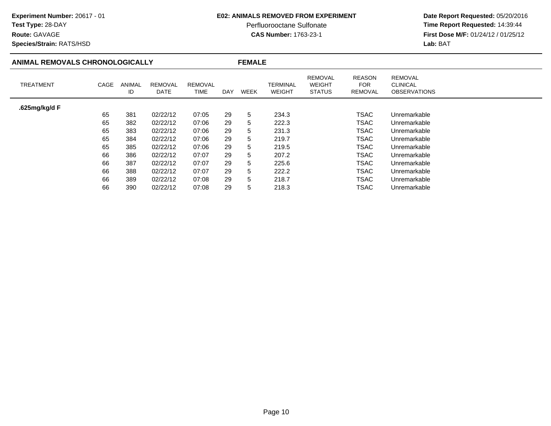### **E02: ANIMALS REMOVED FROM EXPERIMENT**

Perfluorooctane Sulfonate<br>CAS Number: 1763-23-1

 **Date Report Requested:** 05/20/2016 **Time Report Requested:** 14:39:44 **First Dose M/F:** 01/24/12 / 01/25/12<br>**Lab:** BAT **Lab:** BAT

### **Species/Strain:** RATS/HSD

| ANIMAL REMOVALS CHRONOLOGICALLY |      |              |                 |                        |            | <b>FEMALE</b> |                           |                                                  |                                        |                                                          |
|---------------------------------|------|--------------|-----------------|------------------------|------------|---------------|---------------------------|--------------------------------------------------|----------------------------------------|----------------------------------------------------------|
| <b>TREATMENT</b>                | CAGE | ANIMAL<br>ID | REMOVAL<br>DATE | <b>REMOVAL</b><br>TIME | <b>DAY</b> | <b>WEEK</b>   | <b>TERMINAL</b><br>WEIGHT | <b>REMOVAL</b><br><b>WEIGHT</b><br><b>STATUS</b> | <b>REASON</b><br><b>FOR</b><br>REMOVAL | <b>REMOVAL</b><br><b>CLINICAL</b><br><b>OBSERVATIONS</b> |
| .625mg/kg/d F                   |      |              |                 |                        |            |               |                           |                                                  |                                        |                                                          |
|                                 | 65   | 381          | 02/22/12        | 07:05                  | 29         | 5             | 234.3                     |                                                  | <b>TSAC</b>                            | Unremarkable                                             |
|                                 | 65   | 382          | 02/22/12        | 07:06                  | 29         | 5             | 222.3                     |                                                  | <b>TSAC</b>                            | Unremarkable                                             |
|                                 | 65   | 383          | 02/22/12        | 07:06                  | 29         | 5             | 231.3                     |                                                  | <b>TSAC</b>                            | Unremarkable                                             |
|                                 | 65   | 384          | 02/22/12        | 07:06                  | 29         | 5             | 219.7                     |                                                  | <b>TSAC</b>                            | Unremarkable                                             |
|                                 | 65   | 385          | 02/22/12        | 07:06                  | 29         | 5             | 219.5                     |                                                  | <b>TSAC</b>                            | Unremarkable                                             |
|                                 | 66   | 386          | 02/22/12        | 07:07                  | 29         | 5             | 207.2                     |                                                  | <b>TSAC</b>                            | Unremarkable                                             |
|                                 | 66   | 387          | 02/22/12        | 07:07                  | 29         | 5             | 225.6                     |                                                  | <b>TSAC</b>                            | Unremarkable                                             |
|                                 | 66   | 388          | 02/22/12        | 07:07                  | 29         | 5             | 222.2                     |                                                  | <b>TSAC</b>                            | Unremarkable                                             |
|                                 | 66   | 389          | 02/22/12        | 07:08                  | 29         | 5             | 218.7                     |                                                  | <b>TSAC</b>                            | Unremarkable                                             |
|                                 | 66   | 390          | 02/22/12        | 07:08                  | 29         | 5             | 218.3                     |                                                  | <b>TSAC</b>                            | Unremarkable                                             |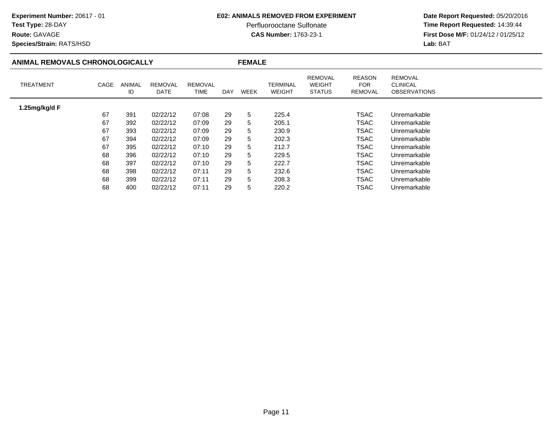### **E02: ANIMALS REMOVED FROM EXPERIMENT**

Perfluorooctane Sulfonate<br>CAS Number: 1763-23-1

 **Date Report Requested:** 05/20/2016 **Time Report Requested:** 14:39:44 **First Dose M/F:** 01/24/12 / 01/25/12<br>Lab: BAT **Lab:** BAT

**Species/Strain:** RATS/HSD

| ANIMAL REMOVALS CHRONOLOGICALLY |      |              |                        | <b>FEMALE</b>          |            |             |                           |                                                  |                                        |                                                          |  |
|---------------------------------|------|--------------|------------------------|------------------------|------------|-------------|---------------------------|--------------------------------------------------|----------------------------------------|----------------------------------------------------------|--|
| <b>TREATMENT</b>                | CAGE | ANIMAL<br>ID | <b>REMOVAL</b><br>DATE | <b>REMOVAL</b><br>TIME | <b>DAY</b> | <b>WEEK</b> | TERMINAL<br><b>WEIGHT</b> | <b>REMOVAL</b><br><b>WEIGHT</b><br><b>STATUS</b> | <b>REASON</b><br><b>FOR</b><br>REMOVAL | <b>REMOVAL</b><br><b>CLINICAL</b><br><b>OBSERVATIONS</b> |  |
| 1.25mg/kg/d F                   |      |              |                        |                        |            |             |                           |                                                  |                                        |                                                          |  |
|                                 | 67   | 391          | 02/22/12               | 07:08                  | 29         | 5           | 225.4                     |                                                  | TSAC                                   | Unremarkable                                             |  |
|                                 | 67   | 392          | 02/22/12               | 07:09                  | 29         | 5           | 205.1                     |                                                  | TSAC                                   | Unremarkable                                             |  |
|                                 | 67   | 393          | 02/22/12               | 07:09                  | 29         | 5           | 230.9                     |                                                  | TSAC                                   | Unremarkable                                             |  |
|                                 | 67   | 394          | 02/22/12               | 07:09                  | 29         | 5           | 202.3                     |                                                  | TSAC                                   | Unremarkable                                             |  |
|                                 | 67   | 395          | 02/22/12               | 07:10                  | 29         | 5           | 212.7                     |                                                  | <b>TSAC</b>                            | Unremarkable                                             |  |
|                                 | 68   | 396          | 02/22/12               | 07:10                  | 29         | 5           | 229.5                     |                                                  | TSAC                                   | Unremarkable                                             |  |
|                                 | 68   | 397          | 02/22/12               | 07:10                  | 29         | 5           | 222.7                     |                                                  | TSAC                                   | Unremarkable                                             |  |
|                                 | 68   | 398          | 02/22/12               | 07:11                  | 29         | 5           | 232.6                     |                                                  | <b>TSAC</b>                            | Unremarkable                                             |  |
|                                 | 68   | 399          | 02/22/12               | 07:11                  | 29         | 5           | 208.3                     |                                                  | <b>TSAC</b>                            | Unremarkable                                             |  |
|                                 | 68   | 400          | 02/22/12               | 07:11                  | 29         | 5           | 220.2                     |                                                  | TSAC                                   | Unremarkable                                             |  |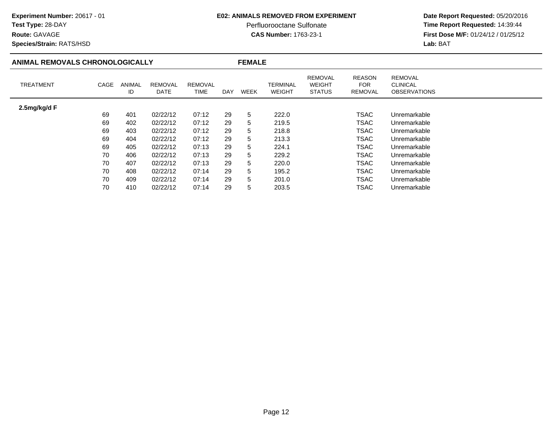### **E02: ANIMALS REMOVED FROM EXPERIMENT**

Perfluorooctane Sulfonate<br>CAS Number: 1763-23-1

 **Date Report Requested:** 05/20/2016 **Time Report Requested:** 14:39:44 **First Dose M/F:** 01/24/12 / 01/25/12<br>Lab: BAT **Lab:** BAT

**Species/Strain:** RATS/HSD

| ANIMAL REMOVALS CHRONOLOGICALLY |      |              |                        | <b>FEMALE</b>   |            |      |                           |                                                  |                                               |                                                          |  |
|---------------------------------|------|--------------|------------------------|-----------------|------------|------|---------------------------|--------------------------------------------------|-----------------------------------------------|----------------------------------------------------------|--|
| <b>TREATMENT</b>                | CAGE | ANIMAL<br>ID | <b>REMOVAL</b><br>DATE | REMOVAL<br>TIME | <b>DAY</b> | WEEK | TERMINAL<br><b>WEIGHT</b> | <b>REMOVAL</b><br><b>WEIGHT</b><br><b>STATUS</b> | <b>REASON</b><br><b>FOR</b><br><b>REMOVAL</b> | <b>REMOVAL</b><br><b>CLINICAL</b><br><b>OBSERVATIONS</b> |  |
| 2.5mg/kg/d F                    |      |              |                        |                 |            |      |                           |                                                  |                                               |                                                          |  |
|                                 | 69   | 401          | 02/22/12               | 07:12           | 29         | 5    | 222.0                     |                                                  | <b>TSAC</b>                                   | Unremarkable                                             |  |
|                                 | 69   | 402          | 02/22/12               | 07:12           | 29         | 5    | 219.5                     |                                                  | <b>TSAC</b>                                   | Unremarkable                                             |  |
|                                 | 69   | 403          | 02/22/12               | 07:12           | 29         | 5    | 218.8                     |                                                  | <b>TSAC</b>                                   | Unremarkable                                             |  |
|                                 | 69   | 404          | 02/22/12               | 07:12           | 29         | 5    | 213.3                     |                                                  | <b>TSAC</b>                                   | Unremarkable                                             |  |
|                                 | 69   | 405          | 02/22/12               | 07:13           | 29         | 5    | 224.1                     |                                                  | <b>TSAC</b>                                   | Unremarkable                                             |  |
|                                 | 70   | 406          | 02/22/12               | 07:13           | 29         | 5    | 229.2                     |                                                  | <b>TSAC</b>                                   | Unremarkable                                             |  |
|                                 | 70   | 407          | 02/22/12               | 07:13           | 29         | 5    | 220.0                     |                                                  | <b>TSAC</b>                                   | Unremarkable                                             |  |
|                                 | 70   | 408          | 02/22/12               | 07:14           | 29         | 5    | 195.2                     |                                                  | <b>TSAC</b>                                   | Unremarkable                                             |  |
|                                 | 70   | 409          | 02/22/12               | 07:14           | 29         | 5    | 201.0                     |                                                  | <b>TSAC</b>                                   | Unremarkable                                             |  |
|                                 | 70   | 410          | 02/22/12               | 07:14           | 29         | 5    | 203.5                     |                                                  | TSAC                                          | Unremarkable                                             |  |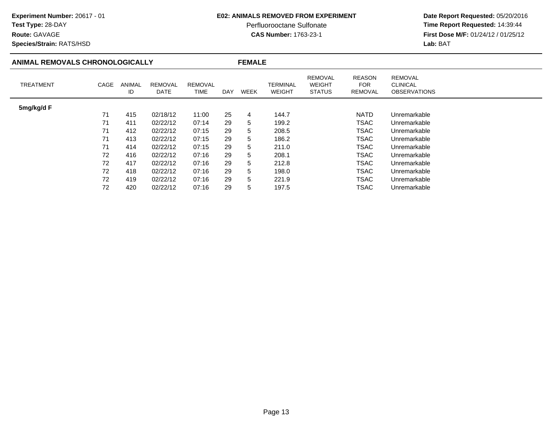### **E02: ANIMALS REMOVED FROM EXPERIMENT**

Perfluorooctane Sulfonate<br>CAS Number: 1763-23-1

 **Date Report Requested:** 05/20/2016 **Time Report Requested:** 14:39:44 **First Dose M/F:** 01/24/12 / 01/25/12<br>Lab: BAT **Lab:** BAT

**Species/Strain:** RATS/HSD

| ANIMAL REMOVALS CHRONOLOGICALLY |      |                     |                               | <b>FEMALE</b>                 |     |                |                           |                                                  |                                        |                                                          |  |
|---------------------------------|------|---------------------|-------------------------------|-------------------------------|-----|----------------|---------------------------|--------------------------------------------------|----------------------------------------|----------------------------------------------------------|--|
| <b>TREATMENT</b>                | CAGE | <b>ANIMAL</b><br>ID | <b>REMOVAL</b><br><b>DATE</b> | <b>REMOVAL</b><br><b>TIME</b> | DAY | <b>WEEK</b>    | TERMINAL<br><b>WEIGHT</b> | <b>REMOVAL</b><br><b>WEIGHT</b><br><b>STATUS</b> | <b>REASON</b><br><b>FOR</b><br>REMOVAL | <b>REMOVAL</b><br><b>CLINICAL</b><br><b>OBSERVATIONS</b> |  |
| 5mg/kg/d F                      |      |                     |                               |                               |     |                |                           |                                                  |                                        |                                                          |  |
|                                 | 71   | 415                 | 02/18/12                      | 11:00                         | 25  | $\overline{4}$ | 144.7                     |                                                  | <b>NATD</b>                            | Unremarkable                                             |  |
|                                 | 71   | 411                 | 02/22/12                      | 07:14                         | 29  | 5              | 199.2                     |                                                  | <b>TSAC</b>                            | Unremarkable                                             |  |
|                                 | 71   | 412                 | 02/22/12                      | 07:15                         | 29  | 5              | 208.5                     |                                                  | <b>TSAC</b>                            | Unremarkable                                             |  |
|                                 | 71   | 413                 | 02/22/12                      | 07:15                         | 29  | 5              | 186.2                     |                                                  | TSAC                                   | Unremarkable                                             |  |
|                                 | 71   | 414                 | 02/22/12                      | 07:15                         | 29  | 5              | 211.0                     |                                                  | <b>TSAC</b>                            | Unremarkable                                             |  |
|                                 | 72   | 416                 | 02/22/12                      | 07:16                         | 29  | 5              | 208.1                     |                                                  | <b>TSAC</b>                            | Unremarkable                                             |  |
|                                 | 72   | 417                 | 02/22/12                      | 07:16                         | 29  | 5              | 212.8                     |                                                  | <b>TSAC</b>                            | Unremarkable                                             |  |
|                                 | 72   | 418                 | 02/22/12                      | 07:16                         | 29  | 5              | 198.0                     |                                                  | <b>TSAC</b>                            | Unremarkable                                             |  |
|                                 | 72   | 419                 | 02/22/12                      | 07:16                         | 29  | 5              | 221.9                     |                                                  | TSAC                                   | Unremarkable                                             |  |
|                                 | 72   | 420                 | 02/22/12                      | 07:16                         | 29  | 5              | 197.5                     |                                                  | <b>TSAC</b>                            | Unremarkable                                             |  |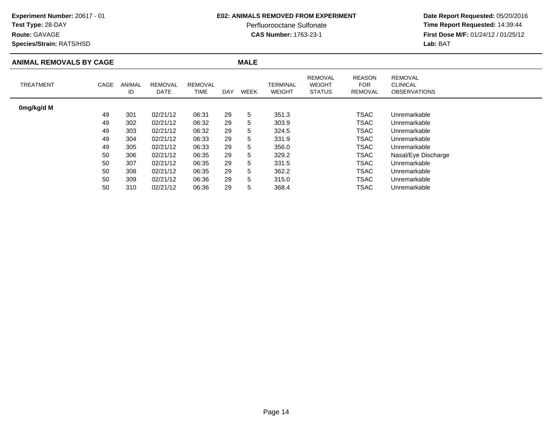### **Route:** GAVAGE

**Species/Strain:** RATS/HSD

### **E02: ANIMALS REMOVED FROM EXPERIMENT**

Perfluorooctane Sulfonate<br>CAS Number: 1763-23-1

| <b>ANIMAL REMOVALS BY CAGE</b> |      |              |                        |                        |     | <b>MALE</b> |                           |                                                  |                                        |                                                          |
|--------------------------------|------|--------------|------------------------|------------------------|-----|-------------|---------------------------|--------------------------------------------------|----------------------------------------|----------------------------------------------------------|
| <b>TREATMENT</b>               | CAGE | ANIMAL<br>ID | <b>REMOVAL</b><br>DATE | <b>REMOVAL</b><br>TIME | DAY | <b>WEEK</b> | TERMINAL<br><b>WEIGHT</b> | <b>REMOVAL</b><br><b>WEIGHT</b><br><b>STATUS</b> | <b>REASON</b><br><b>FOR</b><br>REMOVAL | <b>REMOVAL</b><br><b>CLINICAL</b><br><b>OBSERVATIONS</b> |
| 0mg/kg/d M                     |      |              |                        |                        |     |             |                           |                                                  |                                        |                                                          |
|                                | 49   | 301          | 02/21/12               | 06:31                  | 29  | 5           | 351.3                     |                                                  | <b>TSAC</b>                            | Unremarkable                                             |
|                                | 49   | 302          | 02/21/12               | 06:32                  | 29  | 5           | 303.9                     |                                                  | TSAC                                   | Unremarkable                                             |
|                                | 49   | 303          | 02/21/12               | 06:32                  | 29  | 5           | 324.5                     |                                                  | TSAC                                   | Unremarkable                                             |
|                                | 49   | 304          | 02/21/12               | 06:33                  | 29  | 5           | 331.9                     |                                                  | TSAC                                   | Unremarkable                                             |
|                                | 49   | 305          | 02/21/12               | 06:33                  | 29  | 5           | 356.0                     |                                                  | TSAC                                   | Unremarkable                                             |
|                                | 50   | 306          | 02/21/12               | 06:35                  | 29  | 5           | 329.2                     |                                                  | <b>TSAC</b>                            | Nasal/Eye Discharge                                      |
|                                | 50   | 307          | 02/21/12               | 06:35                  | 29  | 5           | 331.5                     |                                                  | <b>TSAC</b>                            | Unremarkable                                             |
|                                | 50   | 308          | 02/21/12               | 06:35                  | 29  | 5           | 362.2                     |                                                  | TSAC                                   | Unremarkable                                             |
|                                | 50   | 309          | 02/21/12               | 06:36                  | 29  | 5           | 315.0                     |                                                  | <b>TSAC</b>                            | Unremarkable                                             |
|                                | 50   | 310          | 02/21/12               | 06:36                  | 29  | 5           | 368.4                     |                                                  | TSAC                                   | Unremarkable                                             |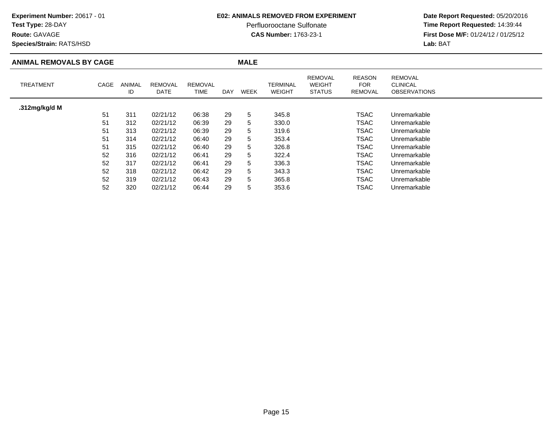# **Test Type:** 28-DAY

**Route:** GAVAGE

**Species/Strain:** RATS/HSD

### **E02: ANIMALS REMOVED FROM EXPERIMENT**

Perfluorooctane Sulfonate<br>CAS Number: 1763-23-1

| <b>ANIMAL REMOVALS BY CAGE</b> |      |              |                        |                        |            | <b>MALE</b> |                           |                                                  |                                        |                                                          |  |
|--------------------------------|------|--------------|------------------------|------------------------|------------|-------------|---------------------------|--------------------------------------------------|----------------------------------------|----------------------------------------------------------|--|
| <b>TREATMENT</b>               | CAGE | ANIMAL<br>ID | <b>REMOVAL</b><br>DATE | <b>REMOVAL</b><br>TIME | <b>DAY</b> | <b>WEEK</b> | <b>TERMINAL</b><br>WEIGHT | <b>REMOVAL</b><br><b>WEIGHT</b><br><b>STATUS</b> | <b>REASON</b><br><b>FOR</b><br>REMOVAL | <b>REMOVAL</b><br><b>CLINICAL</b><br><b>OBSERVATIONS</b> |  |
| .312mg/kg/d M                  |      |              |                        |                        |            |             |                           |                                                  |                                        |                                                          |  |
|                                | 51   | 311          | 02/21/12               | 06:38                  | 29         | 5           | 345.8                     |                                                  | <b>TSAC</b>                            | Unremarkable                                             |  |
|                                | 51   | 312          | 02/21/12               | 06:39                  | 29         | 5           | 330.0                     |                                                  | TSAC                                   | Unremarkable                                             |  |
|                                | 51   | 313          | 02/21/12               | 06:39                  | 29         | 5           | 319.6                     |                                                  | <b>TSAC</b>                            | Unremarkable                                             |  |
|                                | 51   | 314          | 02/21/12               | 06:40                  | 29         | 5           | 353.4                     |                                                  | TSAC                                   | Unremarkable                                             |  |
|                                | 51   | 315          | 02/21/12               | 06:40                  | 29         | 5           | 326.8                     |                                                  | <b>TSAC</b>                            | Unremarkable                                             |  |
|                                | 52   | 316          | 02/21/12               | 06:41                  | 29         | 5           | 322.4                     |                                                  | <b>TSAC</b>                            | Unremarkable                                             |  |
|                                | 52   | 317          | 02/21/12               | 06:41                  | 29         | 5           | 336.3                     |                                                  | TSAC                                   | Unremarkable                                             |  |
|                                | 52   | 318          | 02/21/12               | 06:42                  | 29         | 5           | 343.3                     |                                                  | <b>TSAC</b>                            | Unremarkable                                             |  |
|                                | 52   | 319          | 02/21/12               | 06:43                  | 29         | 5           | 365.8                     |                                                  | <b>TSAC</b>                            | Unremarkable                                             |  |
|                                | 52   | 320          | 02/21/12               | 06:44                  | 29         | 5           | 353.6                     |                                                  | <b>TSAC</b>                            | Unremarkable                                             |  |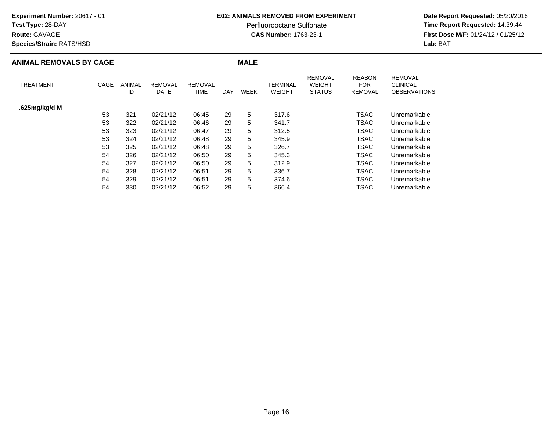# **Test Type:** 28-DAY

**Route:** GAVAGE

**Species/Strain:** RATS/HSD

### **E02: ANIMALS REMOVED FROM EXPERIMENT**

Perfluorooctane Sulfonate<br>CAS Number: 1763-23-1

| <b>ANIMAL REMOVALS BY CAGE</b> |      |                     |                        |                        |            | <b>MALE</b> |                                  |                                                  |                                               |                                                          |  |
|--------------------------------|------|---------------------|------------------------|------------------------|------------|-------------|----------------------------------|--------------------------------------------------|-----------------------------------------------|----------------------------------------------------------|--|
| TREATMENT                      | CAGE | <b>ANIMAL</b><br>ID | <b>REMOVAL</b><br>DATE | <b>REMOVAL</b><br>TIME | <b>DAY</b> | WEEK        | <b>TERMINAL</b><br><b>WEIGHT</b> | <b>REMOVAL</b><br><b>WEIGHT</b><br><b>STATUS</b> | <b>REASON</b><br><b>FOR</b><br><b>REMOVAL</b> | <b>REMOVAL</b><br><b>CLINICAL</b><br><b>OBSERVATIONS</b> |  |
| .625mg/kg/d M                  |      |                     |                        |                        |            |             |                                  |                                                  |                                               |                                                          |  |
|                                | 53   | 321                 | 02/21/12               | 06:45                  | 29         | 5           | 317.6                            |                                                  | TSAC                                          | Unremarkable                                             |  |
|                                | 53   | 322                 | 02/21/12               | 06:46                  | 29         | 5           | 341.7                            |                                                  | TSAC                                          | Unremarkable                                             |  |
|                                | 53   | 323                 | 02/21/12               | 06:47                  | 29         | 5           | 312.5                            |                                                  | TSAC                                          | Unremarkable                                             |  |
|                                | 53   | 324                 | 02/21/12               | 06:48                  | 29         | 5           | 345.9                            |                                                  | <b>TSAC</b>                                   | Unremarkable                                             |  |
|                                | 53   | 325                 | 02/21/12               | 06:48                  | 29         | 5           | 326.7                            |                                                  | TSAC                                          | Unremarkable                                             |  |
|                                | 54   | 326                 | 02/21/12               | 06:50                  | 29         | 5           | 345.3                            |                                                  | TSAC                                          | Unremarkable                                             |  |
|                                | 54   | 327                 | 02/21/12               | 06:50                  | 29         | 5           | 312.9                            |                                                  | <b>TSAC</b>                                   | Unremarkable                                             |  |
|                                | 54   | 328                 | 02/21/12               | 06:51                  | 29         | 5           | 336.7                            |                                                  | TSAC                                          | Unremarkable                                             |  |
|                                | 54   | 329                 | 02/21/12               | 06:51                  | 29         | 5           | 374.6                            |                                                  | TSAC                                          | Unremarkable                                             |  |
|                                | 54   | 330                 | 02/21/12               | 06:52                  | 29         | 5           | 366.4                            |                                                  | TSAC                                          | Unremarkable                                             |  |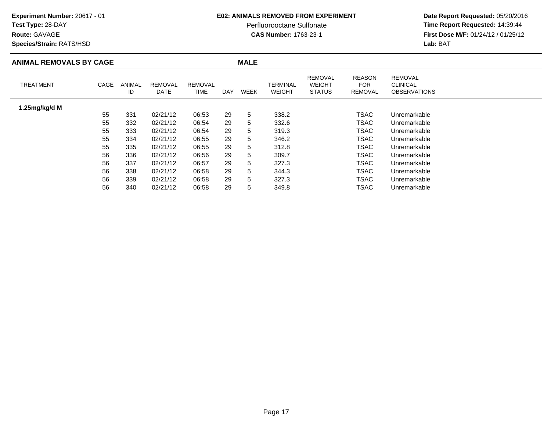# **Test Type:** 28-DAY

**Route:** GAVAGE

**Species/Strain:** RATS/HSD

### **E02: ANIMALS REMOVED FROM EXPERIMENT**

Perfluorooctane Sulfonate<br>CAS Number: 1763-23-1

| <b>ANIMAL REMOVALS BY CAGE</b> |      |                     |                        |                        |            | <b>MALE</b> |                                  |                                                  |                                               |                                                          |
|--------------------------------|------|---------------------|------------------------|------------------------|------------|-------------|----------------------------------|--------------------------------------------------|-----------------------------------------------|----------------------------------------------------------|
| <b>TREATMENT</b>               | CAGE | <b>ANIMAL</b><br>ID | <b>REMOVAL</b><br>DATE | <b>REMOVAL</b><br>TIME | <b>DAY</b> | <b>WEEK</b> | <b>TERMINAL</b><br><b>WEIGHT</b> | <b>REMOVAL</b><br><b>WEIGHT</b><br><b>STATUS</b> | <b>REASON</b><br><b>FOR</b><br><b>REMOVAL</b> | <b>REMOVAL</b><br><b>CLINICAL</b><br><b>OBSERVATIONS</b> |
| 1.25mg/kg/d M                  |      |                     |                        |                        |            |             |                                  |                                                  |                                               |                                                          |
|                                | 55   | 331                 | 02/21/12               | 06:53                  | 29         | 5           | 338.2                            |                                                  | TSAC                                          | Unremarkable                                             |
|                                | 55   | 332                 | 02/21/12               | 06:54                  | 29         | 5           | 332.6                            |                                                  | <b>TSAC</b>                                   | Unremarkable                                             |
|                                | 55   | 333                 | 02/21/12               | 06:54                  | 29         | 5           | 319.3                            |                                                  | TSAC                                          | Unremarkable                                             |
|                                | 55   | 334                 | 02/21/12               | 06:55                  | 29         | 5           | 346.2                            |                                                  | TSAC                                          | Unremarkable                                             |
|                                | 55   | 335                 | 02/21/12               | 06:55                  | 29         | 5           | 312.8                            |                                                  | TSAC                                          | Unremarkable                                             |
|                                | 56   | 336                 | 02/21/12               | 06:56                  | 29         | 5           | 309.7                            |                                                  | TSAC                                          | Unremarkable                                             |
|                                | 56   | 337                 | 02/21/12               | 06:57                  | 29         | 5           | 327.3                            |                                                  | <b>TSAC</b>                                   | Unremarkable                                             |
|                                | 56   | 338                 | 02/21/12               | 06:58                  | 29         | 5           | 344.3                            |                                                  | TSAC                                          | Unremarkable                                             |
|                                | 56   | 339                 | 02/21/12               | 06:58                  | 29         | 5           | 327.3                            |                                                  | TSAC                                          | Unremarkable                                             |
|                                | 56   | 340                 | 02/21/12               | 06:58                  | 29         | 5           | 349.8                            |                                                  | TSAC                                          | Unremarkable                                             |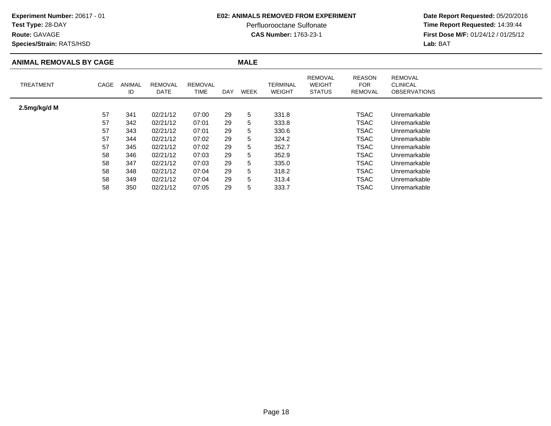# **Test Type:** 28-DAY

**Route:** GAVAGE

**Species/Strain:** RATS/HSD

### **E02: ANIMALS REMOVED FROM EXPERIMENT**

Perfluorooctane Sulfonate<br>CAS Number: 1763-23-1

| <b>ANIMAL REMOVALS BY CAGE</b> |      |                     |                        |                               |            | <b>MALE</b> |                           |                                                  |                                        |                                                          |
|--------------------------------|------|---------------------|------------------------|-------------------------------|------------|-------------|---------------------------|--------------------------------------------------|----------------------------------------|----------------------------------------------------------|
| <b>TREATMENT</b>               | CAGE | <b>ANIMAL</b><br>ID | <b>REMOVAL</b><br>DATE | <b>REMOVAL</b><br><b>TIME</b> | <b>DAY</b> | WEEK        | TERMINAL<br><b>WEIGHT</b> | <b>REMOVAL</b><br><b>WEIGHT</b><br><b>STATUS</b> | <b>REASON</b><br><b>FOR</b><br>REMOVAL | <b>REMOVAL</b><br><b>CLINICAL</b><br><b>OBSERVATIONS</b> |
| 2.5mg/kg/d M                   |      |                     |                        |                               |            |             |                           |                                                  |                                        |                                                          |
|                                | 57   | 341                 | 02/21/12               | 07:00                         | 29         | 5           | 331.8                     |                                                  | <b>TSAC</b>                            | Unremarkable                                             |
|                                | 57   | 342                 | 02/21/12               | 07:01                         | 29         | 5           | 333.8                     |                                                  | <b>TSAC</b>                            | Unremarkable                                             |
|                                | 57   | 343                 | 02/21/12               | 07:01                         | 29         | 5           | 330.6                     |                                                  | TSAC                                   | Unremarkable                                             |
|                                | 57   | 344                 | 02/21/12               | 07:02                         | 29         | 5           | 324.2                     |                                                  | TSAC                                   | Unremarkable                                             |
|                                | 57   | 345                 | 02/21/12               | 07:02                         | 29         | 5           | 352.7                     |                                                  | TSAC                                   | Unremarkable                                             |
|                                | 58   | 346                 | 02/21/12               | 07:03                         | 29         | 5           | 352.9                     |                                                  | <b>TSAC</b>                            | Unremarkable                                             |
|                                | 58   | 347                 | 02/21/12               | 07:03                         | 29         | 5           | 335.0                     |                                                  | TSAC                                   | Unremarkable                                             |
|                                | 58   | 348                 | 02/21/12               | 07:04                         | 29         | 5           | 318.2                     |                                                  | <b>TSAC</b>                            | Unremarkable                                             |
|                                | 58   | 349                 | 02/21/12               | 07:04                         | 29         | 5           | 313.4                     |                                                  | TSAC                                   | Unremarkable                                             |
|                                | 58   | 350                 | 02/21/12               | 07:05                         | 29         | 5           | 333.7                     |                                                  | TSAC                                   | Unremarkable                                             |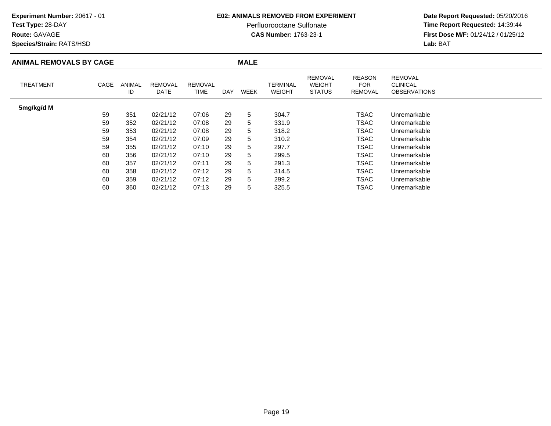**Route:** GAVAGE

**Species/Strain:** RATS/HSD

### **E02: ANIMALS REMOVED FROM EXPERIMENT**

Perfluorooctane Sulfonate<br>CAS Number: 1763-23-1

| <b>ANIMAL REMOVALS BY CAGE</b> |      |                     |                        |                 |     | <b>MALE</b> |                                  |                                                  |                                        |                                                          |  |
|--------------------------------|------|---------------------|------------------------|-----------------|-----|-------------|----------------------------------|--------------------------------------------------|----------------------------------------|----------------------------------------------------------|--|
| <b>TREATMENT</b>               | CAGE | <b>ANIMAL</b><br>ID | <b>REMOVAL</b><br>DATE | REMOVAL<br>TIME | DAY | <b>WEEK</b> | <b>TERMINAL</b><br><b>WEIGHT</b> | <b>REMOVAL</b><br><b>WEIGHT</b><br><b>STATUS</b> | <b>REASON</b><br><b>FOR</b><br>REMOVAL | <b>REMOVAL</b><br><b>CLINICAL</b><br><b>OBSERVATIONS</b> |  |
| 5mg/kg/d M                     |      |                     |                        |                 |     |             |                                  |                                                  |                                        |                                                          |  |
|                                | 59   | 351                 | 02/21/12               | 07:06           | 29  | 5           | 304.7                            |                                                  | <b>TSAC</b>                            | Unremarkable                                             |  |
|                                | 59   | 352                 | 02/21/12               | 07:08           | 29  | 5           | 331.9                            |                                                  | <b>TSAC</b>                            | Unremarkable                                             |  |
|                                | 59   | 353                 | 02/21/12               | 07:08           | 29  | 5           | 318.2                            |                                                  | <b>TSAC</b>                            | Unremarkable                                             |  |
|                                | 59   | 354                 | 02/21/12               | 07:09           | 29  | 5           | 310.2                            |                                                  | TSAC                                   | Unremarkable                                             |  |
|                                | 59   | 355                 | 02/21/12               | 07:10           | 29  | 5           | 297.7                            |                                                  | <b>TSAC</b>                            | Unremarkable                                             |  |
|                                | 60   | 356                 | 02/21/12               | 07:10           | 29  | 5           | 299.5                            |                                                  | <b>TSAC</b>                            | Unremarkable                                             |  |
|                                | 60   | 357                 | 02/21/12               | 07:11           | 29  | 5           | 291.3                            |                                                  | TSAC                                   | Unremarkable                                             |  |
|                                | 60   | 358                 | 02/21/12               | 07:12           | 29  | 5           | 314.5                            |                                                  | <b>TSAC</b>                            | Unremarkable                                             |  |
|                                | 60   | 359                 | 02/21/12               | 07:12           | 29  | 5           | 299.2                            |                                                  | <b>TSAC</b>                            | Unremarkable                                             |  |
|                                | 60   | 360                 | 02/21/12               | 07:13           | 29  | 5           | 325.5                            |                                                  | <b>TSAC</b>                            | Unremarkable                                             |  |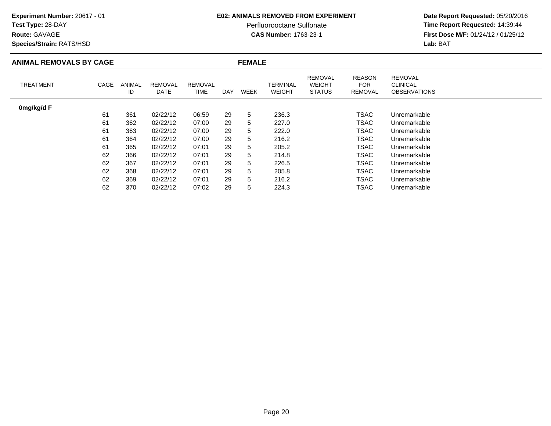**Route:** GAVAGE

**Species/Strain:** RATS/HSD

### **E02: ANIMALS REMOVED FROM EXPERIMENT**

Perfluorooctane Sulfonate<br>CAS Number: 1763-23-1

| <b>ANIMAL REMOVALS BY CAGE</b> |      |              |                        |                        |     | <b>FEMALE</b> |                                  |                                                  |                                        |                                                          |
|--------------------------------|------|--------------|------------------------|------------------------|-----|---------------|----------------------------------|--------------------------------------------------|----------------------------------------|----------------------------------------------------------|
| <b>TREATMENT</b>               | CAGE | ANIMAL<br>ID | <b>REMOVAL</b><br>DATE | <b>REMOVAL</b><br>TIME | DAY | WEEK          | <b>TERMINAL</b><br><b>WEIGHT</b> | <b>REMOVAL</b><br><b>WEIGHT</b><br><b>STATUS</b> | <b>REASON</b><br><b>FOR</b><br>REMOVAL | <b>REMOVAL</b><br><b>CLINICAL</b><br><b>OBSERVATIONS</b> |
| 0mg/kg/d F                     |      |              |                        |                        |     |               |                                  |                                                  |                                        |                                                          |
|                                | 61   | 361          | 02/22/12               | 06:59                  | 29  | 5             | 236.3                            |                                                  | TSAC                                   | Unremarkable                                             |
|                                | 61   | 362          | 02/22/12               | 07:00                  | 29  | 5             | 227.0                            |                                                  | TSAC                                   | Unremarkable                                             |
|                                | 61   | 363          | 02/22/12               | 07:00                  | 29  | 5             | 222.0                            |                                                  | <b>TSAC</b>                            | Unremarkable                                             |
|                                | 61   | 364          | 02/22/12               | 07:00                  | 29  | 5             | 216.2                            |                                                  | <b>TSAC</b>                            | Unremarkable                                             |
|                                | 61   | 365          | 02/22/12               | 07:01                  | 29  | 5             | 205.2                            |                                                  | TSAC                                   | Unremarkable                                             |
|                                | 62   | 366          | 02/22/12               | 07:01                  | 29  | 5             | 214.8                            |                                                  | TSAC                                   | Unremarkable                                             |
|                                | 62   | 367          | 02/22/12               | 07:01                  | 29  | 5             | 226.5                            |                                                  | <b>TSAC</b>                            | Unremarkable                                             |
|                                | 62   | 368          | 02/22/12               | 07:01                  | 29  | 5             | 205.8                            |                                                  | TSAC                                   | Unremarkable                                             |
|                                | 62   | 369          | 02/22/12               | 07:01                  | 29  | 5             | 216.2                            |                                                  | TSAC                                   | Unremarkable                                             |
|                                | 62   | 370          | 02/22/12               | 07:02                  | 29  | 5             | 224.3                            |                                                  | TSAC                                   | Unremarkable                                             |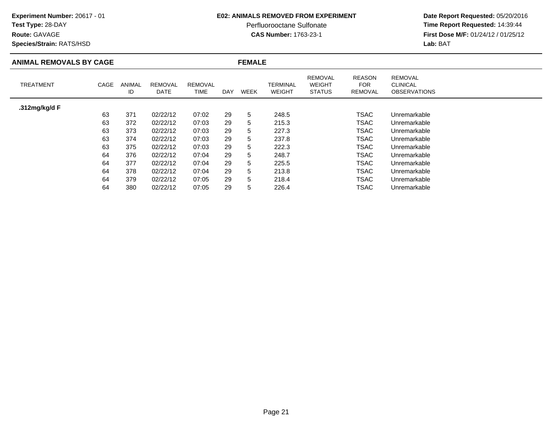# **Test Type:** 28-DAY

**Route:** GAVAGE

**Species/Strain:** RATS/HSD

### **E02: ANIMALS REMOVED FROM EXPERIMENT**

Perfluorooctane Sulfonate<br>CAS Number: 1763-23-1

| <b>ANIMAL REMOVALS BY CAGE</b> |      |              |                        |                        |     | <b>FEMALE</b> |                                  |                                                  |                                        |                                                          |
|--------------------------------|------|--------------|------------------------|------------------------|-----|---------------|----------------------------------|--------------------------------------------------|----------------------------------------|----------------------------------------------------------|
| <b>TREATMENT</b>               | CAGE | ANIMAL<br>ID | <b>REMOVAL</b><br>DATE | <b>REMOVAL</b><br>TIME | DAY | <b>WEEK</b>   | <b>TERMINAL</b><br><b>WEIGHT</b> | <b>REMOVAL</b><br><b>WEIGHT</b><br><b>STATUS</b> | <b>REASON</b><br><b>FOR</b><br>REMOVAL | <b>REMOVAL</b><br><b>CLINICAL</b><br><b>OBSERVATIONS</b> |
| .312mg/kg/d F                  |      |              |                        |                        |     |               |                                  |                                                  |                                        |                                                          |
|                                | 63   | 371          | 02/22/12               | 07:02                  | 29  | 5             | 248.5                            |                                                  | TSAC                                   | Unremarkable                                             |
|                                | 63   | 372          | 02/22/12               | 07:03                  | 29  | 5             | 215.3                            |                                                  | TSAC                                   | Unremarkable                                             |
|                                | 63   | 373          | 02/22/12               | 07:03                  | 29  | 5             | 227.3                            |                                                  | TSAC                                   | Unremarkable                                             |
|                                | 63   | 374          | 02/22/12               | 07:03                  | 29  | 5             | 237.8                            |                                                  | TSAC                                   | Unremarkable                                             |
|                                | 63   | 375          | 02/22/12               | 07:03                  | 29  | 5             | 222.3                            |                                                  | TSAC                                   | Unremarkable                                             |
|                                | 64   | 376          | 02/22/12               | 07:04                  | 29  | 5             | 248.7                            |                                                  | TSAC                                   | Unremarkable                                             |
|                                | 64   | 377          | 02/22/12               | 07:04                  | 29  | 5             | 225.5                            |                                                  | TSAC                                   | Unremarkable                                             |
|                                | 64   | 378          | 02/22/12               | 07:04                  | 29  | 5             | 213.8                            |                                                  | TSAC                                   | Unremarkable                                             |
|                                | 64   | 379          | 02/22/12               | 07:05                  | 29  | 5             | 218.4                            |                                                  | TSAC                                   | Unremarkable                                             |
|                                | 64   | 380          | 02/22/12               | 07:05                  | 29  | 5             | 226.4                            |                                                  | TSAC                                   | Unremarkable                                             |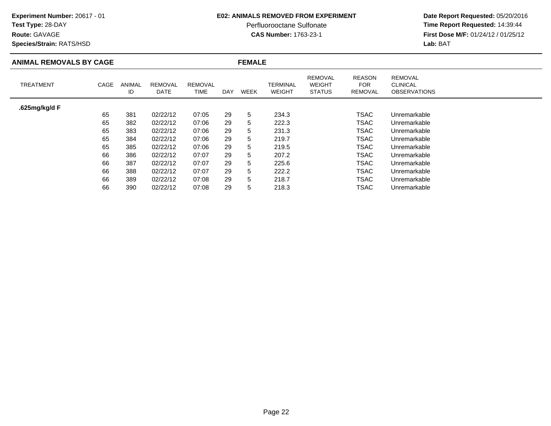### **Test Type:** 28-DAY

**Route:** GAVAGE

**Species/Strain:** RATS/HSD

### **E02: ANIMALS REMOVED FROM EXPERIMENT**

Perfluorooctane Sulfonate<br>CAS Number: 1763-23-1

| <b>ANIMAL REMOVALS BY CAGE</b> |      |              |                        |                        | <b>FEMALE</b> |             |                                  |                                                  |                                               |                                                          |  |
|--------------------------------|------|--------------|------------------------|------------------------|---------------|-------------|----------------------------------|--------------------------------------------------|-----------------------------------------------|----------------------------------------------------------|--|
| <b>TREATMENT</b>               | CAGE | ANIMAL<br>ID | <b>REMOVAL</b><br>DATE | <b>REMOVAL</b><br>TIME | DAY           | <b>WEEK</b> | <b>TERMINAL</b><br><b>WEIGHT</b> | <b>REMOVAL</b><br><b>WEIGHT</b><br><b>STATUS</b> | <b>REASON</b><br><b>FOR</b><br><b>REMOVAL</b> | <b>REMOVAL</b><br><b>CLINICAL</b><br><b>OBSERVATIONS</b> |  |
| .625mg/kg/d F                  |      |              |                        |                        |               |             |                                  |                                                  |                                               |                                                          |  |
|                                | 65   | 381          | 02/22/12               | 07:05                  | 29            | 5           | 234.3                            |                                                  | <b>TSAC</b>                                   | Unremarkable                                             |  |
|                                | 65   | 382          | 02/22/12               | 07:06                  | 29            | 5           | 222.3                            |                                                  | <b>TSAC</b>                                   | Unremarkable                                             |  |
|                                | 65   | 383          | 02/22/12               | 07:06                  | 29            | 5           | 231.3                            |                                                  | <b>TSAC</b>                                   | Unremarkable                                             |  |
|                                | 65   | 384          | 02/22/12               | 07:06                  | 29            | 5           | 219.7                            |                                                  | <b>TSAC</b>                                   | Unremarkable                                             |  |
|                                | 65   | 385          | 02/22/12               | 07:06                  | 29            | 5           | 219.5                            |                                                  | <b>TSAC</b>                                   | Unremarkable                                             |  |
|                                | 66   | 386          | 02/22/12               | 07:07                  | 29            | 5           | 207.2                            |                                                  | TSAC                                          | Unremarkable                                             |  |
|                                | 66   | 387          | 02/22/12               | 07:07                  | 29            | 5           | 225.6                            |                                                  | TSAC                                          | Unremarkable                                             |  |
|                                | 66   | 388          | 02/22/12               | 07:07                  | 29            | 5           | 222.2                            |                                                  | <b>TSAC</b>                                   | Unremarkable                                             |  |
|                                | 66   | 389          | 02/22/12               | 07:08                  | 29            | 5           | 218.7                            |                                                  | <b>TSAC</b>                                   | Unremarkable                                             |  |
|                                | 66   | 390          | 02/22/12               | 07:08                  | 29            | 5           | 218.3                            |                                                  | TSAC                                          | Unremarkable                                             |  |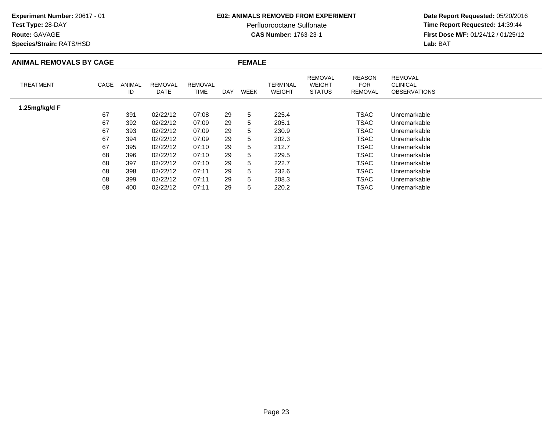### **Test Type:** 28-DAY

**Route:** GAVAGE

**Species/Strain:** RATS/HSD

### **E02: ANIMALS REMOVED FROM EXPERIMENT**

Perfluorooctane Sulfonate<br>CAS Number: 1763-23-1

| <b>ANIMAL REMOVALS BY CAGE</b> |      |              |                        |                        | <b>FEMALE</b> |             |                                  |                                                  |                                               |                                                          |  |
|--------------------------------|------|--------------|------------------------|------------------------|---------------|-------------|----------------------------------|--------------------------------------------------|-----------------------------------------------|----------------------------------------------------------|--|
| <b>TREATMENT</b>               | CAGE | ANIMAL<br>ID | <b>REMOVAL</b><br>DATE | <b>REMOVAL</b><br>TIME | DAY           | <b>WEEK</b> | <b>TERMINAL</b><br><b>WEIGHT</b> | <b>REMOVAL</b><br><b>WEIGHT</b><br><b>STATUS</b> | <b>REASON</b><br><b>FOR</b><br><b>REMOVAL</b> | <b>REMOVAL</b><br><b>CLINICAL</b><br><b>OBSERVATIONS</b> |  |
| 1.25mg/kg/d F                  |      |              |                        |                        |               |             |                                  |                                                  |                                               |                                                          |  |
|                                | 67   | 391          | 02/22/12               | 07:08                  | 29            | 5           | 225.4                            |                                                  | <b>TSAC</b>                                   | Unremarkable                                             |  |
|                                | 67   | 392          | 02/22/12               | 07:09                  | 29            | 5           | 205.1                            |                                                  | <b>TSAC</b>                                   | Unremarkable                                             |  |
|                                | 67   | 393          | 02/22/12               | 07:09                  | 29            | 5           | 230.9                            |                                                  | <b>TSAC</b>                                   | Unremarkable                                             |  |
|                                | 67   | 394          | 02/22/12               | 07:09                  | 29            | 5           | 202.3                            |                                                  | <b>TSAC</b>                                   | Unremarkable                                             |  |
|                                | 67   | 395          | 02/22/12               | 07:10                  | 29            | 5           | 212.7                            |                                                  | <b>TSAC</b>                                   | Unremarkable                                             |  |
|                                | 68   | 396          | 02/22/12               | 07:10                  | 29            | 5           | 229.5                            |                                                  | TSAC                                          | Unremarkable                                             |  |
|                                | 68   | 397          | 02/22/12               | 07:10                  | 29            | 5           | 222.7                            |                                                  | TSAC                                          | Unremarkable                                             |  |
|                                | 68   | 398          | 02/22/12               | 07:11                  | 29            | 5           | 232.6                            |                                                  | TSAC                                          | Unremarkable                                             |  |
|                                | 68   | 399          | 02/22/12               | 07:11                  | 29            | 5           | 208.3                            |                                                  | <b>TSAC</b>                                   | Unremarkable                                             |  |
|                                | 68   | 400          | 02/22/12               | 07:11                  | 29            | 5           | 220.2                            |                                                  | <b>TSAC</b>                                   | Unremarkable                                             |  |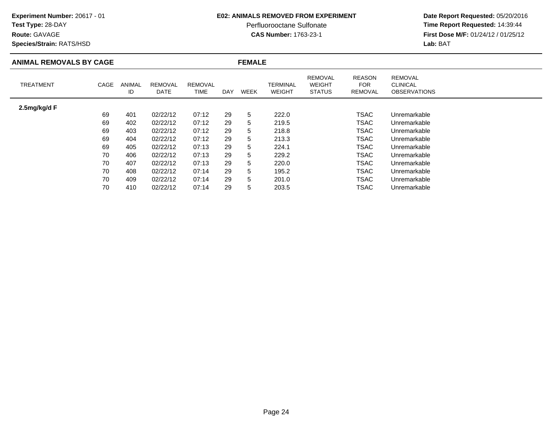### **Test Type:** 28-DAY

**Route:** GAVAGE

**Species/Strain:** RATS/HSD

### **E02: ANIMALS REMOVED FROM EXPERIMENT**

Perfluorooctane Sulfonate<br>CAS Number: 1763-23-1

| <b>ANIMAL REMOVALS BY CAGE</b> |      |              |                        |                        | <b>FEMALE</b> |             |                                  |                                                  |                                               |                                                          |  |
|--------------------------------|------|--------------|------------------------|------------------------|---------------|-------------|----------------------------------|--------------------------------------------------|-----------------------------------------------|----------------------------------------------------------|--|
| <b>TREATMENT</b>               | CAGE | ANIMAL<br>ID | <b>REMOVAL</b><br>DATE | <b>REMOVAL</b><br>TIME | DAY           | <b>WEEK</b> | <b>TERMINAL</b><br><b>WEIGHT</b> | <b>REMOVAL</b><br><b>WEIGHT</b><br><b>STATUS</b> | <b>REASON</b><br><b>FOR</b><br><b>REMOVAL</b> | <b>REMOVAL</b><br><b>CLINICAL</b><br><b>OBSERVATIONS</b> |  |
| 2.5mg/kg/d F                   |      |              |                        |                        |               |             |                                  |                                                  |                                               |                                                          |  |
|                                | 69   | 401          | 02/22/12               | 07:12                  | 29            | 5           | 222.0                            |                                                  | <b>TSAC</b>                                   | Unremarkable                                             |  |
|                                | 69   | 402          | 02/22/12               | 07:12                  | 29            | 5           | 219.5                            |                                                  | <b>TSAC</b>                                   | Unremarkable                                             |  |
|                                | 69   | 403          | 02/22/12               | 07:12                  | 29            | 5           | 218.8                            |                                                  | <b>TSAC</b>                                   | Unremarkable                                             |  |
|                                | 69   | 404          | 02/22/12               | 07:12                  | 29            | 5           | 213.3                            |                                                  | <b>TSAC</b>                                   | Unremarkable                                             |  |
|                                | 69   | 405          | 02/22/12               | 07:13                  | 29            | 5           | 224.1                            |                                                  | <b>TSAC</b>                                   | Unremarkable                                             |  |
|                                | 70   | 406          | 02/22/12               | 07:13                  | 29            | 5           | 229.2                            |                                                  | TSAC                                          | Unremarkable                                             |  |
|                                | 70   | 407          | 02/22/12               | 07:13                  | 29            | 5           | 220.0                            |                                                  | TSAC                                          | Unremarkable                                             |  |
|                                | 70   | 408          | 02/22/12               | 07:14                  | 29            | 5           | 195.2                            |                                                  | <b>TSAC</b>                                   | Unremarkable                                             |  |
|                                | 70   | 409          | 02/22/12               | 07:14                  | 29            | 5           | 201.0                            |                                                  | <b>TSAC</b>                                   | Unremarkable                                             |  |
|                                | 70   | 410          | 02/22/12               | 07:14                  | 29            | 5           | 203.5                            |                                                  | TSAC                                          | Unremarkable                                             |  |